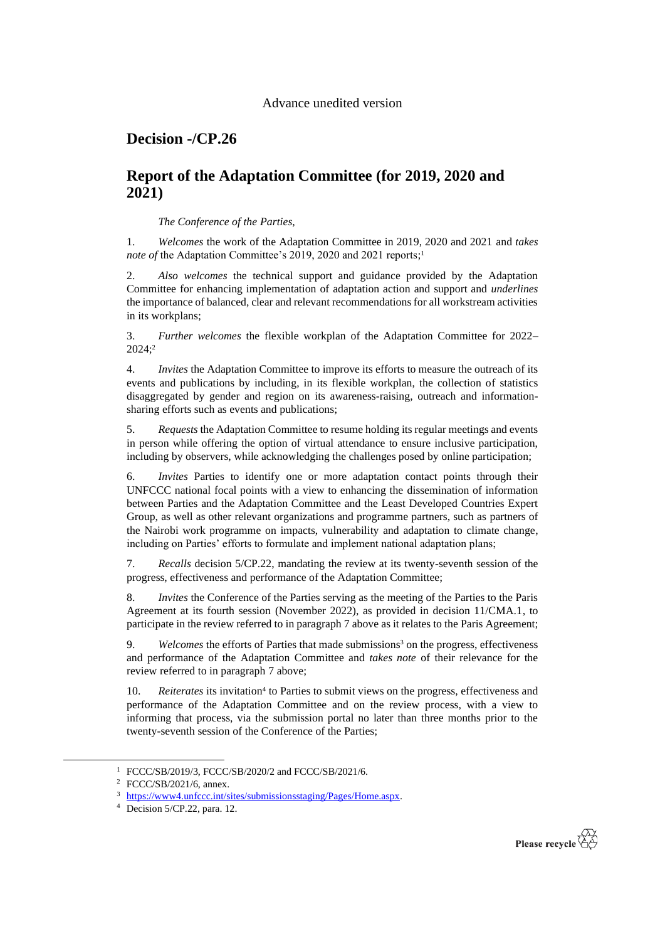## Advance unedited version

## **Decision -/CP.26**

## **Report of the Adaptation Committee (for 2019, 2020 and 2021)**

*The Conference of the Parties*,

1. *Welcomes* the work of the Adaptation Committee in 2019, 2020 and 2021 and *takes note of* the Adaptation Committee's 2019, 2020 and 2021 reports; 1

2. *Also welcomes* the technical support and guidance provided by the Adaptation Committee for enhancing implementation of adaptation action and support and *underlines* the importance of balanced, clear and relevant recommendations for all workstream activities in its workplans;

3. *Further welcomes* the flexible workplan of the Adaptation Committee for 2022– 2024;<sup>2</sup>

4. *Invites* the Adaptation Committee to improve its efforts to measure the outreach of its events and publications by including, in its flexible workplan, the collection of statistics disaggregated by gender and region on its awareness-raising, outreach and informationsharing efforts such as events and publications;

5. *Requests* the Adaptation Committee to resume holding its regular meetings and events in person while offering the option of virtual attendance to ensure inclusive participation, including by observers, while acknowledging the challenges posed by online participation;

6. *Invites* Parties to identify one or more adaptation contact points through their UNFCCC national focal points with a view to enhancing the dissemination of information between Parties and the Adaptation Committee and the Least Developed Countries Expert Group, as well as other relevant organizations and programme partners, such as partners of the Nairobi work programme on impacts, vulnerability and adaptation to climate change, including on Parties' efforts to formulate and implement national adaptation plans;

<span id="page-0-0"></span>7. *Recalls* decision 5/CP.22, mandating the review at its twenty-seventh session of the progress, effectiveness and performance of the Adaptation Committee;

8. *Invites* the Conference of the Parties serving as the meeting of the Parties to the Paris Agreement at its fourth session (November 2022), as provided in decision 11/CMA.1, to participate in the review referred to in paragraph 7 above as it relates to the Paris Agreement;

9. *Welcomes* the efforts of Parties that made submissions<sup>3</sup> on the progress, effectiveness and performance of the Adaptation Committee and *takes note* of their relevance for the review referred to in paragraph [7](#page-0-0) above;

10. Reiterates its invitation<sup>4</sup> to Parties to submit views on the progress, effectiveness and performance of the Adaptation Committee and on the review process, with a view to informing that process, via the submission portal no later than three months prior to the twenty-seventh session of the Conference of the Parties;



<sup>1</sup> FCCC/SB/2019/3, FCCC/SB/2020/2 and FCCC/SB/2021/6.

<sup>2</sup> FCCC/SB/2021/6, annex.

<sup>3</sup> [https://www4.unfccc.int/sites/submissionsstaging/Pages/Home.aspx.](https://www4.unfccc.int/sites/submissionsstaging/Pages/Home.aspx)

<sup>4</sup> Decision 5/CP.22, para. 12.